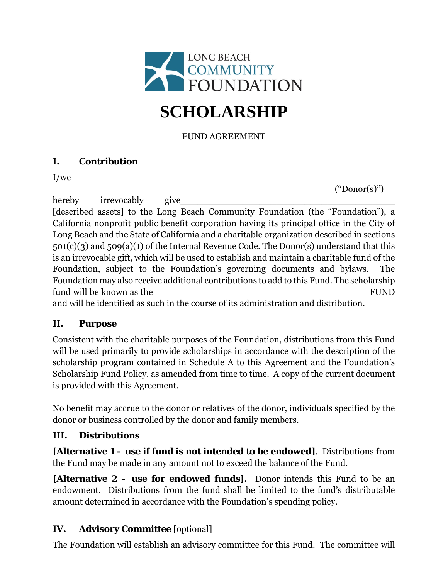

## FUND AGREEMENT

## **I. Contribution**

I/we

 $("Donor(s")$ 

hereby irrevocably give [described assets] to the Long Beach Community Foundation (the "Foundation"), a California nonprofit public benefit corporation having its principal office in the City of Long Beach and the State of California and a charitable organization described in sections 501(c)(3) and 509(a)(1) of the Internal Revenue Code. The Donor(s) understand that this is an irrevocable gift, which will be used to establish and maintain a charitable fund of the Foundation, subject to the Foundation's governing documents and bylaws. The Foundation may also receive additional contributions to add to this Fund. The scholarship fund will be known as the two sets of the sets of the sets of the sets of the sets of the sets of the sets of the sets of the sets of the sets of the sets of the sets of the sets of the sets of the sets of the sets of the and will be identified as such in the course of its administration and distribution.

## **II. Purpose**

Consistent with the charitable purposes of the Foundation, distributions from this Fund will be used primarily to provide scholarships in accordance with the description of the scholarship program contained in Schedule A to this Agreement and the Foundation's Scholarship Fund Policy, as amended from time to time. A copy of the current document is provided with this Agreement.

No benefit may accrue to the donor or relatives of the donor, individuals specified by the donor or business controlled by the donor and family members.

## **III. Distributions**

**[Alternative 1 – use if fund is not intended to be endowed]**. Distributions from the Fund may be made in any amount not to exceed the balance of the Fund.

**[Alternative 2 – use for endowed funds].** Donor intends this Fund to be an endowment. Distributions from the fund shall be limited to the fund's distributable amount determined in accordance with the Foundation's spending policy.

## **IV. Advisory Committee** [optional]

The Foundation will establish an advisory committee for this Fund. The committee will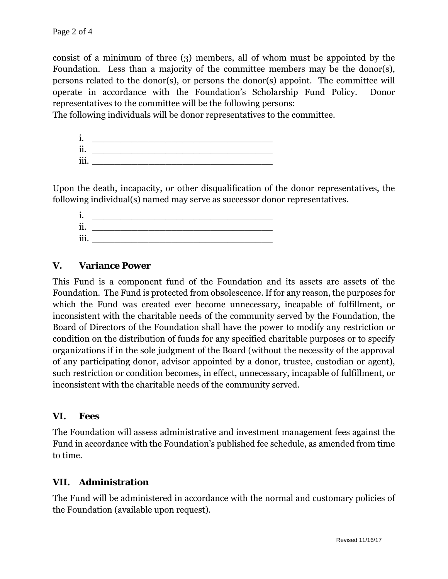consist of a minimum of three (3) members, all of whom must be appointed by the Foundation. Less than a majority of the committee members may be the donor(s), persons related to the donor(s), or persons the donor(s) appoint. The committee will operate in accordance with the Foundation's Scholarship Fund Policy. Donor representatives to the committee will be the following persons:

The following individuals will be donor representatives to the committee.

| ٠<br>ı.                     |  |
|-----------------------------|--|
| $\ddot{\phantom{0}}$<br>11. |  |
| $\cdots$<br>111.            |  |

Upon the death, incapacity, or other disqualification of the donor representatives, the following individual(s) named may serve as successor donor representatives.

| ٠<br>ı.                     |  |
|-----------------------------|--|
| $\ddot{\phantom{0}}$<br>11. |  |
| $\cdots$<br>111.            |  |

#### **V. Variance Power**

This Fund is a component fund of the Foundation and its assets are assets of the Foundation. The Fund is protected from obsolescence. If for any reason, the purposes for which the Fund was created ever become unnecessary, incapable of fulfillment, or inconsistent with the charitable needs of the community served by the Foundation, the Board of Directors of the Foundation shall have the power to modify any restriction or condition on the distribution of funds for any specified charitable purposes or to specify organizations if in the sole judgment of the Board (without the necessity of the approval of any participating donor, advisor appointed by a donor, trustee, custodian or agent), such restriction or condition becomes, in effect, unnecessary, incapable of fulfillment, or inconsistent with the charitable needs of the community served.

#### **VI. Fees**

The Foundation will assess administrative and investment management fees against the Fund in accordance with the Foundation's published fee schedule, as amended from time to time.

#### **VII. Administration**

The Fund will be administered in accordance with the normal and customary policies of the Foundation (available upon request).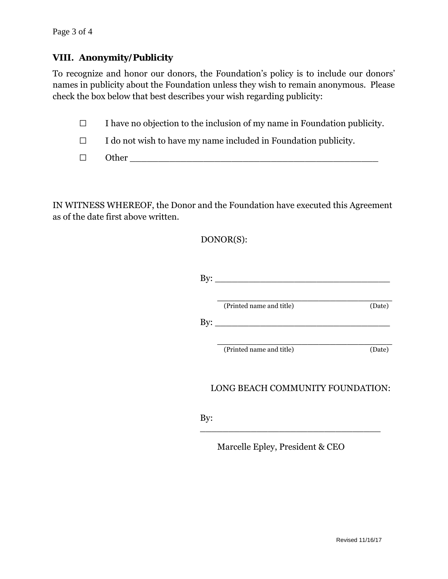### **VIII. Anonymity/Publicity**

To recognize and honor our donors, the Foundation's policy is to include our donors' names in publicity about the Foundation unless they wish to remain anonymous. Please check the box below that best describes your wish regarding publicity:

 $\Box$  I have no objection to the inclusion of my name in Foundation publicity.

 $\Box$  I do not wish to have my name included in Foundation publicity.

| _ |  |
|---|--|
|   |  |

IN WITNESS WHEREOF, the Donor and the Foundation have executed this Agreement as of the date first above written.

DONOR(S):

| $\rm{By:}$                       |                          |        |
|----------------------------------|--------------------------|--------|
|                                  | (Printed name and title) | (Date) |
| By:                              |                          |        |
|                                  | (Printed name and title) | (Date) |
| LONG BEACH COMMUNITY FOUNDATION: |                          |        |
| By:                              |                          |        |

Marcelle Epley, President & CEO